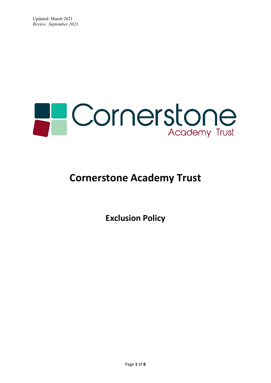

# **Cornerstone Academy Trust**

**Exclusion Policy**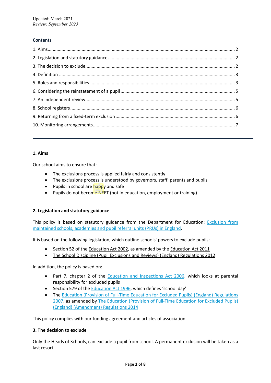# **Contents**

# **1. Aims**

Our school aims to ensure that:

- The exclusions process is applied fairly and consistently
- The exclusions process is understood by governors, staff, parents and pupils
- Pupils in school are happy and safe
- Pupils do not become NEET (not in education, employment or training)

# **2. Legislation and statutory guidance**

This policy is based on statutory guidance from the Department for Education: [Exclusion from](https://www.gov.uk/government/publications/school-exclusion)  [maintained schools, academies and pupil referral units \(PRUs\) in England.](https://www.gov.uk/government/publications/school-exclusion)

It is based on the following legislation, which outline schools' powers to exclude pupils:

- Section 52 of th[e Education Act 2002,](http://www.legislation.gov.uk/ukpga/2002/32/section/52) as amended by the [Education Act 2011](http://www.legislation.gov.uk/ukpga/2011/21/contents/enacted)
- [The School Discipline \(Pupil Exclusions and Reviews\) \(England\) Regulations 2012](http://www.legislation.gov.uk/uksi/2012/1033/made)

In addition, the policy is based on:

- Part 7, chapter 2 of the **Education and Inspections Act 2006**, which looks at parental responsibility for excluded pupils
- Section 579 of the **Education Act 1996**, which defines 'school day'
- The Education (Provision of Full-Time Education for Excluded Pupils) (England) Regulations [2007,](http://www.legislation.gov.uk/uksi/2007/1870/contents/made) as amended by [The Education \(Provision of Full-Time Education for Excluded Pupils\)](http://www.legislation.gov.uk/uksi/2014/3216/contents/made)  [\(England\) \(Amendment\) Regulations 2014](http://www.legislation.gov.uk/uksi/2014/3216/contents/made)

This policy complies with our funding agreement and articles of association.

# **3. The decision to exclude**

Only the Heads of Schools, can exclude a pupil from school. A permanent exclusion will be taken as a last resort.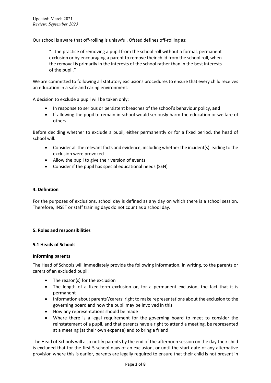Our school is aware that off-rolling is unlawful. Ofsted defines off-rolling as:

"…the practice of removing a pupil from the school roll without a formal, permanent exclusion or by encouraging a parent to remove their child from the school roll, when the removal is primarily in the interests of the school rather than in the best interests of the pupil."

We are committed to following all statutory exclusions procedures to ensure that every child receives an education in a safe and caring environment.

A decision to exclude a pupil will be taken only:

- In response to serious or persistent breaches of the school's behaviour policy, **and**
- If allowing the pupil to remain in school would seriously harm the education or welfare of others

Before deciding whether to exclude a pupil, either permanently or for a fixed period, the head of school will:

- Consider all the relevant facts and evidence, including whether the incident(s) leading to the exclusion were provoked
- Allow the pupil to give their version of events
- Consider if the pupil has special educational needs (SEN)

## **4. Definition**

For the purposes of exclusions, school day is defined as any day on which there is a school session. Therefore, INSET or staff training days do not count as a school day.

# **5. Roles and responsibilities**

#### **5.1 Heads of Schools**

#### **Informing parents**

The Head of Schools will immediately provide the following information, in writing, to the parents or carers of an excluded pupil:

- The reason(s) for the exclusion
- The length of a fixed-term exclusion or, for a permanent exclusion, the fact that it is permanent
- Information about parents'/carers' right to make representations about the exclusion to the governing board and how the pupil may be involved in this
- How any representations should be made
- Where there is a legal requirement for the governing board to meet to consider the reinstatement of a pupil, and that parents have a right to attend a meeting, be represented at a meeting (at their own expense) and to bring a friend

The Head of Schools will also notify parents by the end of the afternoon session on the day their child is excluded that for the first 5 school days of an exclusion, or until the start date of any alternative provision where this is earlier, parents are legally required to ensure that their child is not present in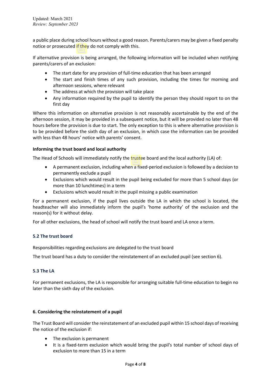a public place during school hours without a good reason. Parents/carers may be given a fixed penalty notice or prosecuted if they do not comply with this.

If alternative provision is being arranged, the following information will be included when notifying parents/carers of an exclusion:

- The start date for any provision of full-time education that has been arranged
- The start and finish times of any such provision, including the times for morning and afternoon sessions, where relevant
- The address at which the provision will take place
- Any information required by the pupil to identify the person they should report to on the first day

Where this information on alternative provision is not reasonably ascertainable by the end of the afternoon session, it may be provided in a subsequent notice, but it will be provided no later than 48 hours before the provision is due to start. The only exception to this is where alternative provision is to be provided before the sixth day of an exclusion, in which case the information can be provided with less than 48 hours' notice with parents' consent.

# **Informing the trust board and local authority**

The Head of Schools will immediately notify the trustee board and the local authority (LA) of:

- A permanent exclusion, including when a fixed-period exclusion is followed by a decision to permanently exclude a pupil
- Exclusions which would result in the pupil being excluded for more than 5 school days (or more than 10 lunchtimes) in a term
- Exclusions which would result in the pupil missing a public examination

For a permanent exclusion, if the pupil lives outside the LA in which the school is located, the headteacher will also immediately inform the pupil's 'home authority' of the exclusion and the reason(s) for it without delay.

For all other exclusions, the head of school will notify the trust board and LA once a term.

# **5.2 The trust board**

Responsibilities regarding exclusions are delegated to the trust board

The trust board has a duty to consider the reinstatement of an excluded pupil (see section 6).

# **5.3 The LA**

For permanent exclusions, the LA is responsible for arranging suitable full-time education to begin no later than the sixth day of the exclusion.

# **6. Considering the reinstatement of a pupil**

The Trust Board will consider the reinstatement of an excluded pupil within 15 school days of receiving the notice of the exclusion if:

- The exclusion is permanent
- It is a fixed-term exclusion which would bring the pupil's total number of school days of exclusion to more than 15 in a term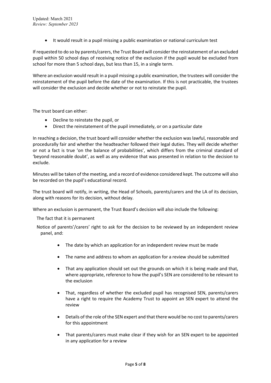• It would result in a pupil missing a public examination or national curriculum test

If requested to do so by parents/carers, the Trust Board will consider the reinstatement of an excluded pupil within 50 school days of receiving notice of the exclusion if the pupil would be excluded from school for more than 5 school days, but less than 15, in a single term.

Where an exclusion would result in a pupil missing a public examination, the trustees will consider the reinstatement of the pupil before the date of the examination. If this is not practicable, the trustees will consider the exclusion and decide whether or not to reinstate the pupil.

The trust board can either:

- Decline to reinstate the pupil, or
- Direct the reinstatement of the pupil immediately, or on a particular date

In reaching a decision, the trust board will consider whether the exclusion was lawful, reasonable and procedurally fair and whether the headteacher followed their legal duties. They will decide whether or not a fact is true 'on the balance of probabilities', which differs from the criminal standard of 'beyond reasonable doubt', as well as any evidence that was presented in relation to the decision to exclude.

Minutes will be taken of the meeting, and a record of evidence considered kept. The outcome will also be recorded on the pupil's educational record.

The trust board will notify, in writing, the Head of Schools, parents/carers and the LA of its decision, along with reasons for its decision, without delay.

Where an exclusion is permanent, the Trust Board's decision will also include the following:

The fact that it is permanent

- Notice of parents'/carers' right to ask for the decision to be reviewed by an independent review panel, and:
	- The date by which an application for an independent review must be made
	- The name and address to whom an application for a review should be submitted
	- That any application should set out the grounds on which it is being made and that, where appropriate, reference to how the pupil's SEN are considered to be relevant to the exclusion
	- That, regardless of whether the excluded pupil has recognised SEN, parents/carers have a right to require the Academy Trust to appoint an SEN expert to attend the review
	- Details of the role of the SEN expert and that there would be no cost to parents/carers for this appointment
	- That parents/carers must make clear if they wish for an SEN expert to be appointed in any application for a review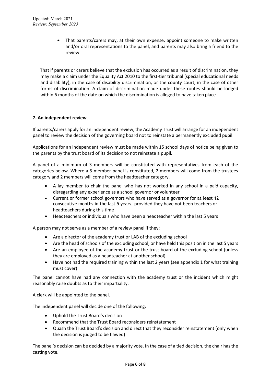That parents/carers may, at their own expense, appoint someone to make written and/or oral representations to the panel, and parents may also bring a friend to the review

 That if parents or carers believe that the exclusion has occurred as a result of discrimination, they may make a claim under the Equality Act 2010 to the first-tier tribunal (special educational needs and disability), in the case of disability discrimination, or the county court, in the case of other forms of discrimination. A claim of discrimination made under these routes should be lodged within 6 months of the date on which the discrimination is alleged to have taken place

# **7. An independent review**

If parents/carers apply for an independent review, the Academy Trust will arrange for an independent panel to review the decision of the governing board not to reinstate a permanently excluded pupil.

Applications for an independent review must be made within 15 school days of notice being given to the parents by the trust board of its decision to not reinstate a pupil.

A panel of a minimum of 3 members will be constituted with representatives from each of the categories below. Where a 5-member panel is constituted, 2 members will come from the trustees category and 2 members will come from the headteacher category.

- A lay member to chair the panel who has not worked in any school in a paid capacity, disregarding any experience as a school governor or volunteer
- Current or former school governors who have served as a governor for at least 12 consecutive months in the last 5 years, provided they have not been teachers or headteachers during this time
- Headteachers or individuals who have been a headteacher within the last 5 years

A person may not serve as a member of a review panel if they:

- Are a director of the academy trust or LAB of the excluding school
- Are the head of schools of the excluding school, or have held this position in the last 5 years
- Are an employee of the academy trust or the trust board of the excluding school (unless they are employed as a headteacher at another school)
- Have not had the required training within the last 2 years (see appendix 1 for what training must cover)

The panel cannot have had any connection with the academy trust or the incident which might reasonably raise doubts as to their impartiality.

A clerk will be appointed to the panel.

The independent panel will decide one of the following:

- Uphold the Trust Board's decision
- Recommend that the Trust Board reconsiders reinstatement
- Quash the Trust Board's decision and direct that they reconsider reinstatement (only when the decision is judged to be flawed)

The panel's decision can be decided by a majority vote. In the case of a tied decision, the chair has the casting vote.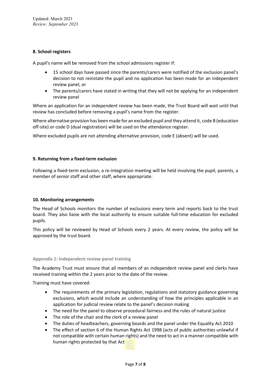# **8. School registers**

A pupil's name will be removed from the school admissions register if:

- 15 school days have passed since the parents/carers were notified of the exclusion panel's decision to not reinstate the pupil and no application has been made for an independent review panel, or
- The parents/carers have stated in writing that they will not be applying for an independent review panel

Where an application for an independent review has been made, the Trust Board will wait until that review has concluded before removing a pupil's name from the register.

Where alternative provision has been made for an excluded pupil and they attend it, code B (education off-site) or code D (dual registration) will be used on the attendance register.

Where excluded pupils are not attending alternative provision, code E (absent) will be used.

### **9. Returning from a fixed-term exclusion**

Following a fixed-term exclusion, a re-integration meeting will be held involving the pupil, parents, a member of senior staff and other staff, where appropriate.

# **10. Monitoring arrangements**

The Head of Schools monitors the number of exclusions every term and reports back to the trust board. They also liaise with the local authority to ensure suitable full-time education for excluded pupils.

This policy will be reviewed by Head of Schools every 2 years. At every review, the policy will be approved by the trust board.

#### **Appendix 1: Independent review panel training**

The Academy Trust must ensure that all members of an independent review panel and clerks have received training within the 2 years prior to the date of the review.

Training must have covered:

- The requirements of the primary legislation, regulations and statutory guidance governing exclusions, which would include an understanding of how the principles applicable in an application for judicial review relate to the panel's decision making
- The need for the panel to observe procedural fairness and the rules of natural justice
- The role of the chair and the clerk of a review panel
- The duties of headteachers, governing boards and the panel under the Equality Act 2010
- The effect of section 6 of the Human Rights Act 1998 (acts of public authorities unlawful if not compatible with certain human rights) and the need to act in a manner compatible with human rights protected by that Act